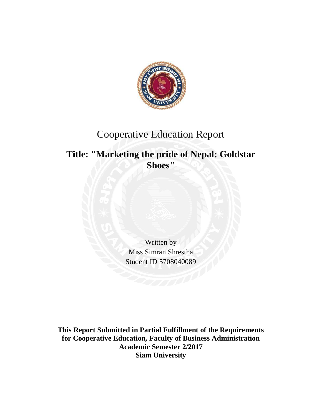

# Cooperative Education Report

# **Title: "Marketing the pride of Nepal: Goldstar Shoes"**

Written by Miss Simran Shrestha Student ID 5708040089

**This Report Submitted in Partial Fulfillment of the Requirements for Cooperative Education, Faculty of Business Administration Academic Semester 2/2017 Siam University**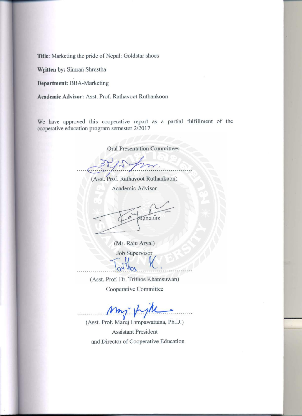Title: Marketing the pride of Nepal: Goldstar shoes

Written by: Simran Shrestha

**Department: BBA-Marketing** 

Academic Advisor: Asst. Prof. Rathavoot Ruthankoon

We have approved this cooperative report as a partial fulfillment of the cooperative education program semester 2/2017

# **Oral Presentation Committees**

(Asst. Prof. Rathavoot Ruthankoon)

Academic Advisor

fenature

(Mr. Raju Aryal) Job Supervisor

(Asst. Prof. Dr. Trithos Khamsuwan) Cooperative Committee

(Asst. Prof. Maruj Limpawattana, Ph.D.) **Assistant President** and Director of Cooperative Education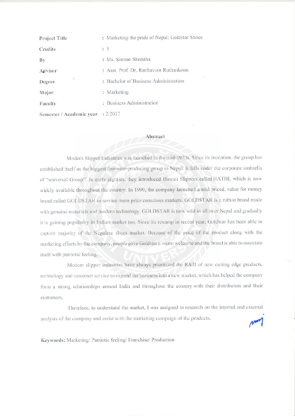| Project Title                     | : Marketing the pride of Nepal: Goldstar Shoes |
|-----------------------------------|------------------------------------------------|
| Credits                           | : 5                                            |
| By                                | : Ms. Simran Shrestha                          |
| Advisor                           | : Asst. Prof. Dr. Ratthavoot Ruthankoon        |
| ¥.<br>Degree                      | : Bachelor of Business Administration          |
| Major                             | : Marketing                                    |
| Faculty                           | : Business Administration                      |
| Semester / Academic vear : 2/2017 |                                                |

# Abstract

Modern Slipper Industries was launched in the mid-1970s. Since its inception, the group has established itself as the biggest footwear-producing group in Nepal. It falls under the corporate umbrella of "universal Group". In early eighties, they introduced Hawaii Slippers called HATHI, which is now widely available throughout the country. In 1990, the company launched a mid priced, value for money brand called GOLDSTAR to service more price conscious markets. GOLDSTAR is a robust brand made with genuine materials and modern technology. GOLDSTAR is now sold in all over Nepal and gradually it is gaining popularity in Indian market too. Since its revamp in recent year, Goldstar has been able to capture majority of the Nepalese shoes market. Because of the price of the product along with the marketing efforts by the company, people gave Goldstar a warm welcome and the brand is able to associate itself with patriotic feeling.

Modern slipper industries have always prioritized the R&D of new cutting edge products, technology and customer service to expand the business into a new market, which has helped the company form a strong relationships around India and throughout the country with their distributors and their customers.

Therefore, to understand the market, I was assigned to research on the internal and external analysis of the company and assist with the marketing campaign of the products.

Keywords: Marketing/ Patriotic feeling/ Franchise/ Production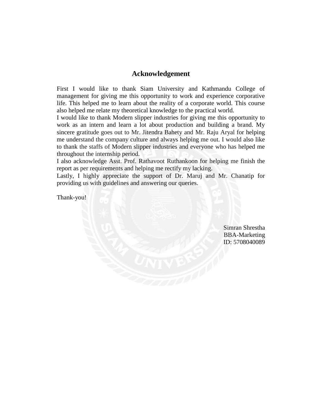## **Acknowledgement**

First I would like to thank Siam University and Kathmandu College of management for giving me this opportunity to work and experience corporative life. This helped me to learn about the reality of a corporate world. This course also helped me relate my theoretical knowledge to the practical world.

I would like to thank Modern slipper industries for giving me this opportunity to work as an intern and learn a lot about production and building a brand. My sincere gratitude goes out to Mr. Jitendra Bahety and Mr. Raju Aryal for helping me understand the company culture and always helping me out. I would also like to thank the staffs of Modern slipper industries and everyone who has helped me throughout the internship period.

I also acknowledge Asst. Prof. Rathavoot Ruthankoon for helping me finish the report as per requirements and helping me rectify my lacking.

Lastly, I highly appreciate the support of Dr. Maruj and Mr. Chanatip for providing us with guidelines and answering our queries.

Thank-you!

Simran Shrestha BBA-Marketing ID: 5708040089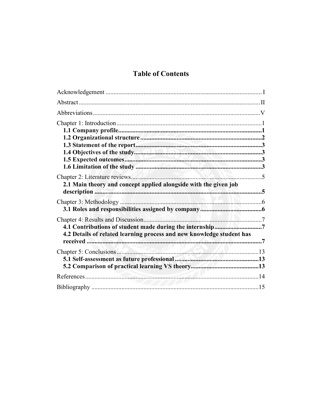# **Table of Contents**

| 2.1 Main theory and concept applied alongside with the given job      |  |
|-----------------------------------------------------------------------|--|
|                                                                       |  |
| 4.2 Details of related learning process and new knowledge student has |  |
|                                                                       |  |
|                                                                       |  |
|                                                                       |  |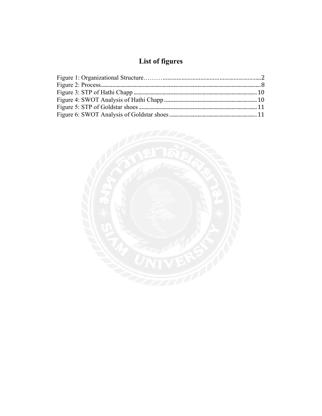# List of figures

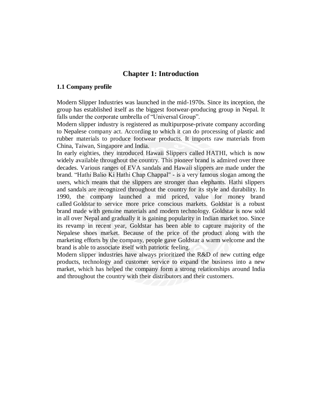# **Chapter 1: Introduction**

#### **1.1 Company profile**

Modern Slipper Industries was launched in the mid-1970s. Since its inception, the group has established itself as the biggest footwear-producing group in Nepal. It falls under the corporate umbrella of "Universal Group".

Modern slipper industry is registered as multipurpose-private company according to Nepalese company act. According to which it can do processing of plastic and rubber materials to produce footwear products. It imports raw materials from China, Taiwan, Singapore and India.

In early eighties, they introduced Hawaii Slippers called HATHI, which is now widely available throughout the country. This pioneer brand is admired over three decades. Various ranges of EVA sandals and Hawaii slippers are made under the brand. "Hathi Balio Ki Hathi Chap Chappal" - is a very famous slogan among the users, which means that the slippers are stronger than elephants. Hathi slippers and sandals are recognized throughout the country for its style and durability. In 1990, the company launched a mid priced, value for money brand called Goldstar to service more price conscious markets. Goldstar is a robust brand made with genuine materials and modern technology. Goldstar is now sold in all over Nepal and gradually it is gaining popularity in Indian market too. Since its revamp in recent year, Goldstar has been able to capture majority of the Nepalese shoes market. Because of the price of the product along with the marketing efforts by the company, people gave Goldstar a warm welcome and the brand is able to associate itself with patriotic feeling.

Modern slipper industries have always prioritized the R&D of new cutting edge products, technology and customer service to expand the business into a new market, which has helped the company form a strong relationships around India and throughout the country with their distributors and their customers.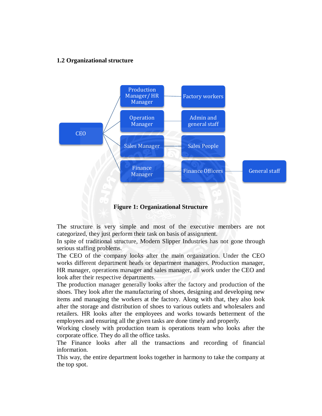## **1.2 Organizational structure**



**Figure 1: Organizational Structure**

The structure is very simple and most of the executive members are not categorized, they just perform their task on basis of assignment.

In spite of traditional structure, Modern Slipper Industries has not gone through serious staffing problems.

The CEO of the company looks after the main organization. Under the CEO works different department heads or department managers. Production manager, HR manager, operations manager and sales manager, all work under the CEO and look after their respective departments.

The production manager generally looks after the factory and production of the shoes. They look after the manufacturing of shoes, designing and developing new items and managing the workers at the factory. Along with that, they also look after the storage and distribution of shoes to various outlets and wholesalers and retailers. HR looks after the employees and works towards betterment of the employees and ensuring all the given tasks are done timely and properly.

Working closely with production team is operations team who looks after the corporate office. They do all the office tasks.

The Finance looks after all the transactions and recording of financial information.

This way, the entire department looks together in harmony to take the company at the top spot.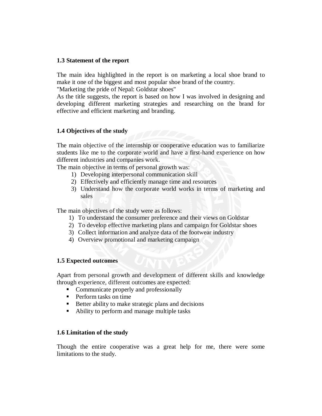#### **1.3 Statement of the report**

The main idea highlighted in the report is on marketing a local shoe brand to make it one of the biggest and most popular shoe brand of the country.

"Marketing the pride of Nepal: Goldstar shoes"

As the title suggests, the report is based on how I was involved in designing and developing different marketing strategies and researching on the brand for effective and efficient marketing and branding.

## **1.4 Objectives of the study**

The main objective of the internship or cooperative education was to familiarize students like me to the corporate world and have a first-hand experience on how different industries and companies work.

The main objective in terms of personal growth was:

- 1) Developing interpersonal communication skill
- 2) Effectively and efficiently manage time and resources
- 3) Understand how the corporate world works in terms of marketing and sales

The main objectives of the study were as follows:

- 1) To understand the consumer preference and their views on Goldstar
- 2) To develop effective marketing plans and campaign for Goldstar shoes
- 3) Collect information and analyze data of the footwear industry
- 4) Overview promotional and marketing campaign

## **1.5 Expected outcomes**

Apart from personal growth and development of different skills and knowledge through experience, different outcomes are expected:

- Communicate properly and professionally
- **Perform tasks on time**
- $\blacksquare$  Better ability to make strategic plans and decisions
- Ability to perform and manage multiple tasks

## **1.6 Limitation of the study**

Though the entire cooperative was a great help for me, there were some limitations to the study.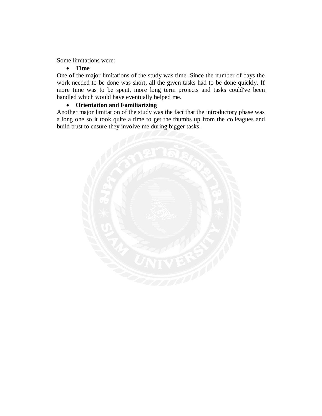#### Some limitations were:

#### **Time**

One of the major limitations of the study was time. Since the number of days the work needed to be done was short, all the given tasks had to be done quickly. If more time was to be spent, more long term projects and tasks could've been handled which would have eventually helped me.

# **Orientation and Familiarizing**

Another major limitation of the study was the fact that the introductory phase was a long one so it took quite a time to get the thumbs up from the colleagues and build trust to ensure they involve me during bigger tasks.

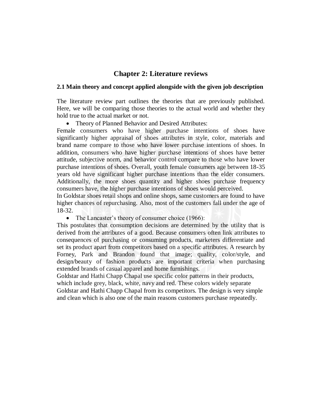# **Chapter 2: Literature reviews**

#### **2.1 Main theory and concept applied alongside with the given job description**

The literature review part outlines the theories that are previously published. Here, we will be comparing those theories to the actual world and whether they hold true to the actual market or not.

• Theory of Planned Behavior and Desired Attributes:

Female consumers who have higher purchase intentions of shoes have significantly higher appraisal of shoes attributes in style, color, materials and brand name compare to those who have lower purchase intentions of shoes. In addition, consumers who have higher purchase intentions of shoes have better attitude, subjective norm, and behavior control compare to those who have lower purchase intentions of shoes. Overall, youth female consumers age between 18-35 years old have significant higher purchase intentions than the elder consumers. Additionally, the more shoes quantity and higher shoes purchase frequency consumers have, the higher purchase intentions of shoes would perceived.

In Goldstar shoes retail shops and online shops, same customers are found to have higher chances of repurchasing. Also, most of the customers fall under the age of 18-32.

• The Lancaster's theory of consumer choice (1966):

This postulates that consumption decisions are determined by the utility that is derived from the attributes of a good. Because consumers often link attributes to consequences of purchasing or consuming products, marketers differentiate and set its product apart from competitors based on a specific attributes. A research by Forney, Park and Brandon found that image; quality, color/style, and design/beauty of fashion products are important criteria when purchasing extended brands of casual apparel and home furnishings.

Goldstar and Hathi Chapp Chapal use specific color patterns in their products, which include grey, black, white, navy and red. These colors widely separate Goldstar and Hathi Chapp Chapal from its competitors. The design is very simple and clean which is also one of the main reasons customers purchase repeatedly.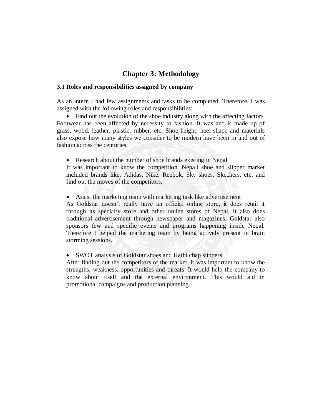# **Chapter 3: Methodology**

#### **3.1 Roles and responsibilities assigned by company**

As an intern I had few assignments and tasks to be completed. Therefore, I was assigned with the following roles and responsibilities:

• Find out the evolution of the shoe industry along with the affecting factors Footwear has been affected by necessity to fashion. It was and is made up of grass, wood, leather, plastic, rubber, etc. Shoe height, heel shape and materials also expose how many styles we consider to be modern have been in and out of fashion across the centuries.

• Research about the number of shoe brands existing in Nepal

It was important to know the competition. Nepali shoe and slipper market included brands like, Adidas, Nike, Reebok, Sky shoes, Skechers, etc. and find out the moves of the competitors.

Assist the marketing team with marketing task like advertisement

As Goldstar doesn't really have an official online store, it does retail it through its specialty store and other online stores of Nepal. It also does traditional advertisement through newspaper and magazines. Goldstar also sponsors few and specific events and programs happening inside Nepal. Therefore I helped the marketing team by being actively present in brain storming sessions.

SWOT analysis of Goldstar shoes and Hathi chap slippers

After finding out the competitors of the market, it was important to know the strengths, weakness, opportunities and threats. It would help the company to know about itself and the external environment. This would aid in promotional campaigns and production planning.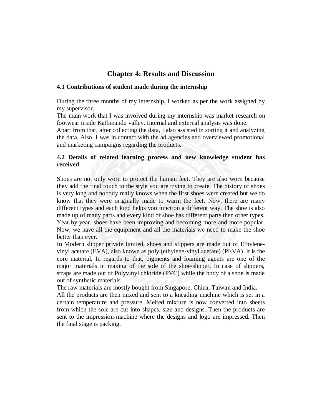# **Chapter 4: Results and Discussion**

## **4.1 Contributions of student made during the internship**

During the three months of my internship, I worked as per the work assigned by my supervisor.

The main work that I was involved during my internship was market research on footwear inside Kathmandu valley. Internal and external analysis was done.

Apart from that, after collecting the data, I also assisted in sorting it and analyzing the data. Also, I was in contact with the ad agencies and overviewed promotional and marketing campaigns regarding the products.

# **4.2 Details of related learning process and new knowledge student has received**

Shoes are not only worn to protect the human feet. They are also worn because they add the final touch to the style you are trying to create. The history of shoes is very long and nobody really knows when the first shoes were created but we do know that they were originally made to warm the feet. Now, there are many different types and each kind helps you function a different way. The shoe is also made up of many parts and every kind of shoe has different parts then other types. Year by year, shoes have been improving and becoming more and more popular. Now, we have all the equipment and all the materials we need to make the shoe better than ever.

In Modern slipper private limited, shoes and slippers are made out of Ethylenevinyl acetate (EVA), also known as poly (ethylene-vinyl acetate) (PEVA). It is the core material. In regards to that, pigments and foaming agents are one of the major materials in making of the sole of the shoe/slipper. In case of slippers, straps are made out of Polyvinyl chloride (PVC) while the body of a shoe is made out of synthetic materials.

The raw materials are mostly bought from Singapore, China, Taiwan and India.

All the products are then mixed and sent to a kneading machine which is set in a certain temperature and pressure. Melted mixture is now converted into sheets from which the sole are cut into shapes, size and designs. Then the products are sent to the impression-machine where the designs and logo are impressed. Then the final stage is packing.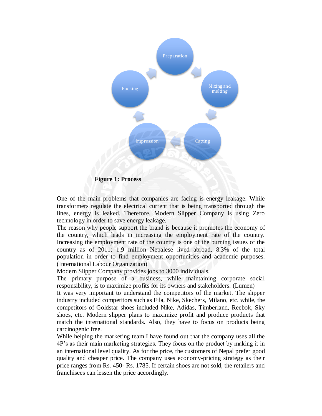![](_page_13_Figure_0.jpeg)

One of the main problems that companies are facing is energy leakage. While transformers regulate the electrical current that is being transported through the lines, energy is leaked. Therefore, Modern Slipper Company is using Zero technology in order to save energy leakage.

The reason why people support the brand is because it promotes the economy of the country, which leads in increasing the employment rate of the country. Increasing the employment rate of the country is one of the burning issues of the country as of 2011; 1.9 million Nepalese lived abroad, 8.3% of the total population in order to find employment opportunities and academic purposes. (International Labour Organization)

Modern Slipper Company provides jobs to 3000 individuals.

The primary purpose of a business, while maintaining corporate social responsibility, is to maximize profits for its owners and stakeholders. (Lumen)

It was very important to understand the competitors of the market. The slipper industry included competitors such as Fila, Nike, Skechers, Milano, etc. while, the competitors of Goldstar shoes included Nike, Adidas, Timberland, Reebok, Sky shoes, etc. Modern slipper plans to maximize profit and produce products that match the international standards. Also, they have to focus on products being carcinogenic free.

While helping the marketing team I have found out that the company uses all the 4P's as their main marketing strategies. They focus on the product by making it in an international level quality. As for the price, the customers of Nepal prefer good quality and cheaper price. The company uses economy-pricing strategy as their price ranges from Rs. 450- Rs. 1785. If certain shoes are not sold, the retailers and franchisees can lessen the price accordingly.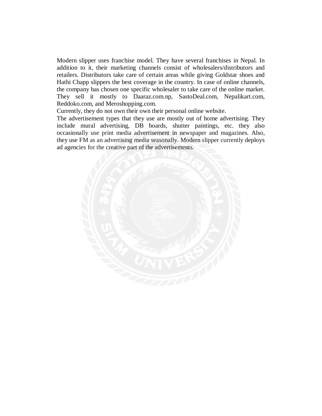Modern slipper uses franchise model. They have several franchises in Nepal. In addition to it, their marketing channels consist of wholesalers/distributors and retailers. Distributors take care of certain areas while giving Goldstar shoes and Hathi Chapp slippers the best coverage in the country. In case of online channels, the company has chosen one specific wholesaler to take care of the online market. They sell it mostly to Daaraz.com.np, SastoDeal.com, Nepalikart.com, Reddoko.com, and Meroshopping.com.

Currently, they do not own their own their personal online website.

The advertisement types that they use are mostly out of home advertising. They include mural advertising, DB boards, shutter paintings, etc. they also occasionally use print media advertisement in newspaper and magazines. Also, they use FM as an advertising media seasonally. Modern slipper currently deploys ad agencies for the creative part of the advertisements.

![](_page_14_Picture_3.jpeg)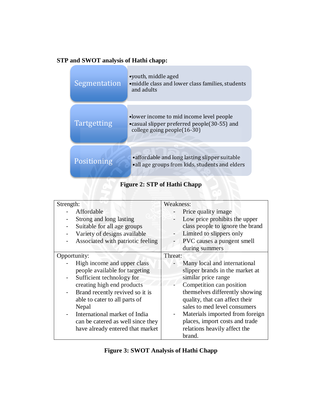# **STP and SWOT analysis of Hathi chapp:**

| Segmentation       | •youth, middle aged<br>• middle class and lower class families, students<br>and adults                                  |
|--------------------|-------------------------------------------------------------------------------------------------------------------------|
| <b>Tartgetting</b> | •lower income to mid income level people<br>• casual slipper preferred people(30-55) and<br>college going people(16-30) |
| Positioning        | • affordable and long lasting slipper suitable<br>•all age groups from kids, students and elders                        |

# **Figure 2: STP of Hathi Chapp**

| Strength:                |                                   | Weakness: |                                  |
|--------------------------|-----------------------------------|-----------|----------------------------------|
|                          | Affordable                        |           | Price quality image              |
|                          | Strong and long lasting           |           | Low price prohibits the upper    |
|                          | Suitable for all age groups       |           | class people to ignore the brand |
|                          | Variety of designs available      |           | Limited to slippers only         |
| -                        | Associated with patriotic feeling |           | PVC causes a pungent smell       |
|                          |                                   |           | during summers                   |
| Opportunity:             |                                   | Threat:   |                                  |
|                          | High income and upper class       |           | Many local and international     |
|                          | people available for targeting    |           | slipper brands in the market at  |
|                          | Sufficient technology for         |           | similar price range              |
|                          | creating high end products        |           | Competition can position         |
| $\overline{\phantom{a}}$ | Brand recently revived so it is   |           | themselves differently showing   |
|                          | able to cater to all parts of     |           | quality, that can affect their   |
|                          | Nepal                             |           | sales to med level consumers     |
|                          | International market of India     |           | Materials imported from foreign  |
|                          | can be catered as well since they |           | places, import costs and trade   |
|                          | have already entered that market  |           | relations heavily affect the     |
|                          |                                   |           | brand.                           |

# **Figure 3: SWOT Analysis of Hathi Chapp**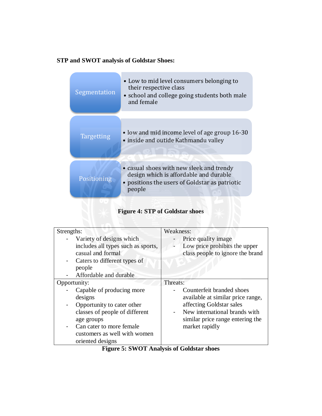# **STP and SWOT analysis of Goldstar Shoes:**

| Segmentation      | • Low to mid level consumers belonging to<br>their respective class<br>• school and college going students both male<br>and female             |
|-------------------|------------------------------------------------------------------------------------------------------------------------------------------------|
|                   |                                                                                                                                                |
| <b>Targetting</b> | • low and mid income level of age group 16-30<br>· inside and outide Kathmandu valley                                                          |
| Positioning       | • casual shoes with new sleek and trendy<br>design which is affordable and durable<br>• positions the users of Goldstar as patriotic<br>people |

# **Figure 4: STP of Goldstar shoes**

| Strengths:                                                                                                                                                                                               | Weakness:                                                                                                                                                                         |
|----------------------------------------------------------------------------------------------------------------------------------------------------------------------------------------------------------|-----------------------------------------------------------------------------------------------------------------------------------------------------------------------------------|
| Variety of designs which<br>includes all types such as sports,<br>casual and formal<br>Caters to different types of<br>-<br>people<br>Affordable and durable                                             | Price quality image<br>Low price prohibits the upper<br>class people to ignore the brand                                                                                          |
| Opportunity:                                                                                                                                                                                             | Threats:                                                                                                                                                                          |
| Capable of producing more<br>designs<br>Opportunity to cater other<br>classes of people of different<br>age groups<br>Can cater to more female.<br>-<br>customers as well with women<br>oriented designs | Counterfeit branded shoes<br>available at similar price range,<br>affecting Goldstar sales<br>New international brands with<br>similar price range entering the<br>market rapidly |
|                                                                                                                                                                                                          | $\sim$ $\sim$ $\sim$ $\sim$                                                                                                                                                       |

# **Figure 5: SWOT Analysis of Goldstar shoes**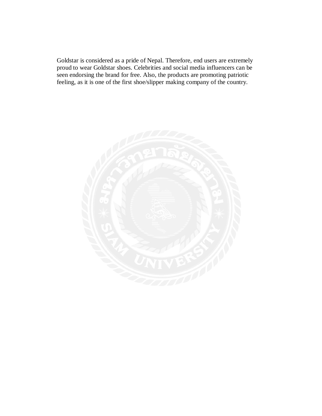Goldstar is considered as a pride of Nepal. Therefore, end users are extremely proud to wear Goldstar shoes. Celebrities and social media influencers can be seen endorsing the brand for free. Also, the products are promoting patriotic feeling, as it is one of the first shoe/slipper making company of the country.

![](_page_17_Picture_1.jpeg)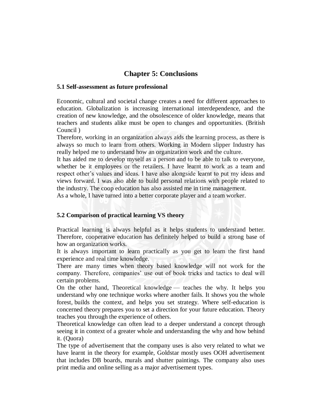# **Chapter 5: Conclusions**

#### **5.1 Self-assessment as future professional**

Economic, cultural and societal change creates a need for different approaches to education. Globalization is increasing international interdependence, and the creation of new knowledge, and the obsolescence of older knowledge, means that teachers and students alike must be open to changes and opportunities. (British Council )

Therefore, working in an organization always aids the learning process, as there is always so much to learn from others. Working in Modern slipper Industry has really helped me to understand how an organization work and the culture.

It has aided me to develop myself as a person and to be able to talk to everyone, whether be it employees or the retailers. I have learnt to work as a team and respect other's values and ideas. I have also alongside learnt to put my ideas and views forward. I was also able to build personal relations with people related to the industry. The coop education has also assisted me in time management.

As a whole, I have turned into a better corporate player and a team worker.

## **5.2 Comparison of practical learning VS theory**

Practical learning is always helpful as it helps students to understand better. Therefore, cooperative education has definitely helped to build a strong base of how an organization works.

It is always important to learn practically as you get to learn the first hand experience and real time knowledge.

There are many times when theory based knowledge will not work for the company. Therefore, companies' use out of book tricks and tactics to deal will certain problems.

On the other hand, Theoretical knowledge — teaches the why. It helps you understand why one technique works where another fails. It shows you the whole forest, builds the context, and helps you set strategy. Where self-education is concerned theory prepares you to set a direction for your future education. Theory teaches you through the experience of others.

Theoretical knowledge can often lead to a deeper understand a concept through seeing it in context of a greater whole and understanding the why and how behind it. (Quora)

The type of advertisement that the company uses is also very related to what we have learnt in the theory for example, Goldstar mostly uses OOH advertisement that includes DB boards, murals and shutter paintings. The company also uses print media and online selling as a major advertisement types.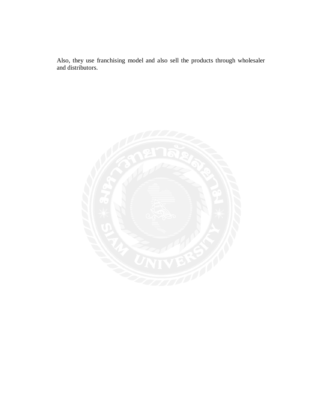Also, they use franchising model and also sell the products through wholesaler and distributors.

![](_page_19_Picture_1.jpeg)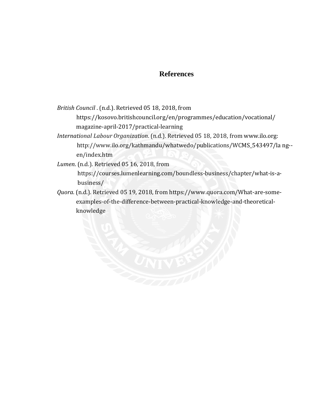# **References**

*British Council* . (n.d.). Retrieved 05 18, 2018, from

 https://kosovo.britishcouncil.org/en/programmes/education/vocational/ magazine-april-2017/practical-learning

*International Labour Organization*. (n.d.). Retrieved 05 18, 2018, from www.ilo.org: http://www.ilo.org/kathmandu/whatwedo/publications/WCMS\_543497/la ng- en/index.htm

*Lumen*. (n.d.). Retrieved 05 16, 2018, from

 https://courses.lumenlearning.com/boundless-business/chapter/what-is-a business/

*Quora*. (n.d.). Retrieved 05 19, 2018, from https://www.quora.com/What-are-some examples-of-the-difference-between-practical-knowledge-and-theoretical knowledge

![](_page_20_Picture_7.jpeg)